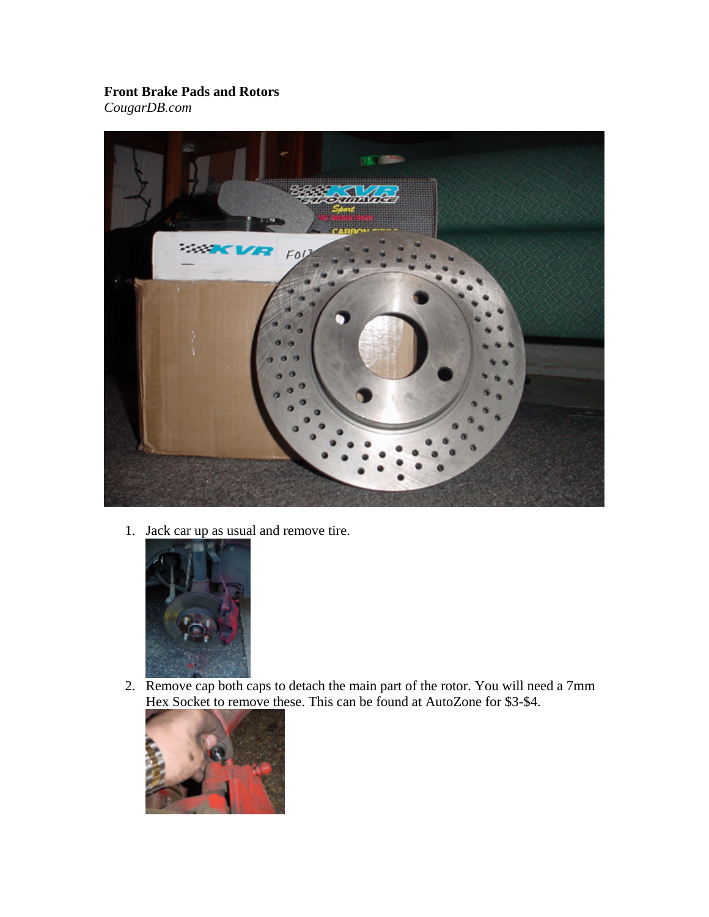## **Front Brake Pads and Rotors**

*CougarDB.com*



1. Jack car up as usual and remove tire.



2. Remove cap both caps to detach the main part of the rotor. You will need a 7mm Hex Socket to remove these. This can be found at AutoZone for \$3-\$4.

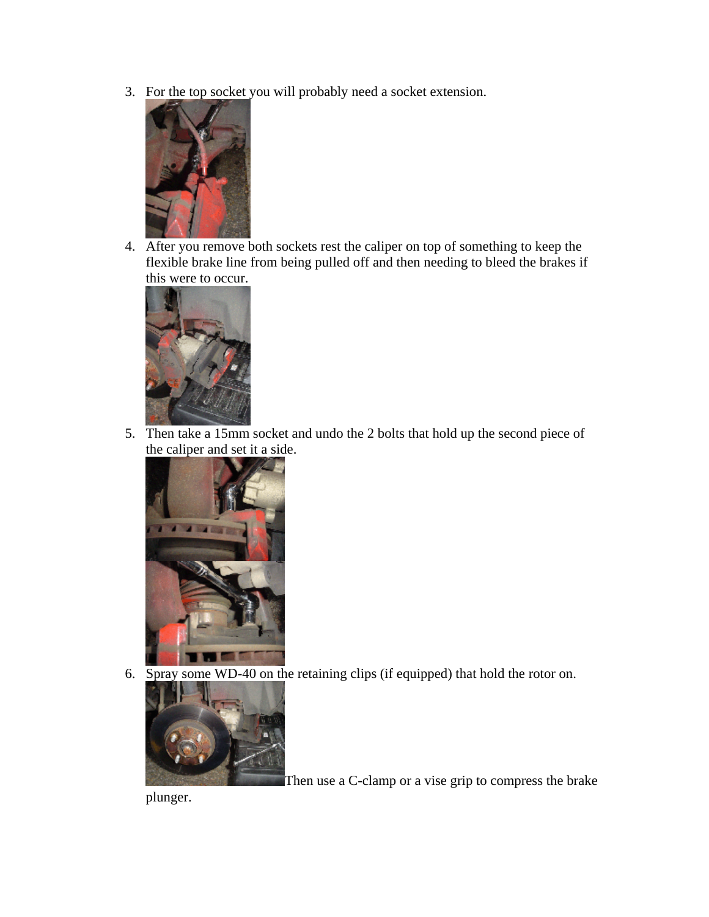3. For the top socket you will probably need a socket extension.



4. After you remove both sockets rest the caliper on top of something to keep the flexible brake line from being pulled off and then needing to bleed the brakes if this were to occur.



5. Then take a 15mm socket and undo the 2 bolts that hold up the second piece of the caliper and set it a side.



6. Spray some WD-40 on the retaining clips (if equipped) that hold the rotor on.



Then use a C-clamp or a vise grip to compress the brake

plunger.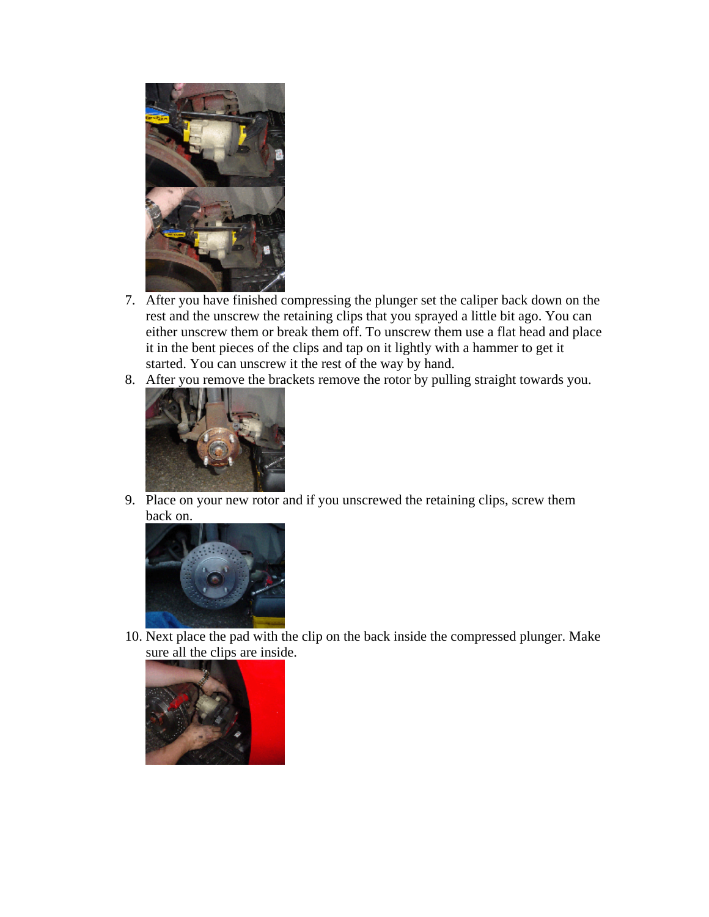

- 7. After you have finished compressing the plunger set the caliper back down on the rest and the unscrew the retaining clips that you sprayed a little bit ago. You can either unscrew them or break them off. To unscrew them use a flat head and place it in the bent pieces of the clips and tap on it lightly with a hammer to get it started. You can unscrew it the rest of the way by hand.
- 8. After you remove the brackets remove the rotor by pulling straight towards you.



9. Place on your new rotor and if you unscrewed the retaining clips, screw them back on.



10. Next place the pad with the clip on the back inside the compressed plunger. Make sure all the clips are inside.